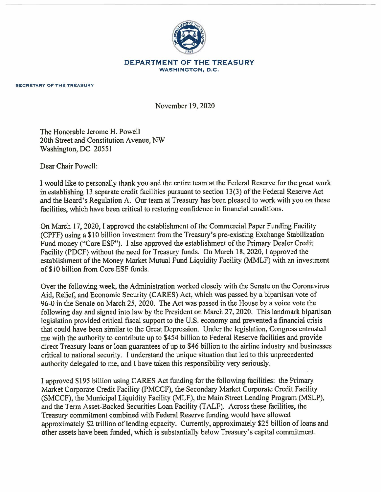

## **DEPARTMENT OF THE TREASURY WASHINGTON,** D.C.

**SECRETARY** Of' THE **TREASURY** 

November 19, 2020

The Honorable Jerome H. Powell 20th Street and Constitution Avenue, NW Washington, DC 20551

Dear Chair Powell:

I would like to personally thank you and the entire team at the Federal Reserve for the great work in establishing 13 separate credit facilities pursuant to section 13(3) of the Federal Reserve Act and the Board's Regulation A. Our team at Treasury has been pleased to work with you on these facilities, which have been critical to restoring confidence in financial conditions.

On March 17, 2020, I approved the establishment of the Commercial Paper Funding Facility (CPFF) using a \$10 billion investment from the Treasury's pre-existing Exchange Stabilization Fund money ("Core ESF"). I also approved the establishment of the Primary Dealer Credit Facility (PDCF) without the need for Treasury funds. On March 18, 2020, I approved the establishment of the Money Market Mutual Fund Liquidity Facility (MMLF) with an investment of \$10 billion from Core ESF funds.

Over the following week, the Administration worked closely with the Senate on the Coronavirus Aid, Relief, and Economic Security (CARES) Act, which was passed by a bipartisan vote of 96-0 in the Senate on March 25, 2020. The Act was passed in the House by a voice vote the following day and signed into law by the President on March 27, 2020. This landmark bipartisan legislation provided critical fiscal support to the U.S. economy and prevented a financial crisis that could have been similar to the Great Depression. Under the legislation, Congress entrusted me with the authority to contribute up to \$454 billion to Federal Reserve facilities and provide direct Treasury loans or loan guarantees of up to \$46 billion to the airline industry and businesses critical to national security. I understand the unique situation that led to this unprecedented authority delegated to me, and I have taken this responsibility very seriously.

I approved \$195 billion using CARES Act funding for the following facilities: the Primary Market Corporate Credit Facility (PMCCF), the Secondary Market Corporate Credit Facility (SMCCF), the Municipal Liquidity Facility (MLF), the Main Street Lending Program (MSLP), and the Term Asset-Backed Securities Loan Facility (T ALF). Across these facilities, the Treasury commitment combined with Federal Reserve funding would have allowed approximately \$2 trillion of lending capacity. Currently, approximately \$25 billion of loans and other assets have been funded, which is substantially below Treasury's capital commitment.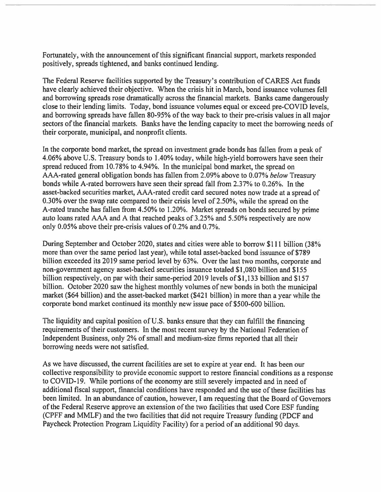Fortunately, with the announcement of this significant financial support, markets responded positively, spreads tightened, and banks continued lending.

The Federal Reserve facilities supported by the Treasury's contribution of CARES Act funds have clearly achieved their objective. When the crisis hit in March, bond issuance volumes fell and borrowing spreads rose dramatically across the financial markets. Banks came dangerously close to their lending limits. Today, bond issuance volumes equal or exceed pre-COVID levels, and borrowing spreads have fallen 80-95% of the way back to their pre-crisis values in all major sectors of the financial markets. Banks have the lending capacity to meet the borrowing needs of their corporate, municipal, and nonprofit clients.

In the corporate bond market, the spread on investment grade bonds has fallen from a peak of 4.06% above U.S. Treasury bonds to 1.40% today, while high-yield borrowers have seen their spread reduced from 10.78% to 4.94%. In the municipal bond market, the spread on AAA-rated general obligation bonds has fallen from 2.09% above to 0.07% *below* Treasury bonds while A-rated borrowers have seen their spread fall from 2.37% to 0.26%. In the asset-backed securities market, AAA-rated credit card secured notes now trade at a spread of 0.30% over the swap rate compared to their crisis level of 2.50%, while the spread on the A-rated tranche has fallen from 4.50% to 1.20%. Market spreads on bonds secured by prime auto loans rated AAA and A that reached peaks of 3.25% and 5.50% respectively are now only 0.05% above their pre-crisis values of 0.2% and 0.7%.

During September and October 2020, states and cities were able to borrow \$111 billion (38% more than over the same period last year), while total asset-backed bond issuance of \$789 billion exceeded its 2019 same period level by 63%. Over the last two months, corporate and non-government agency asset-backed securities issuance totaled \$1,080 billion and \$155 billion respectively, on par with their same-period 2019 levels of \$1,133 billion and \$157 billion. October 2020 saw the highest monthly volumes of new bonds in both the municipal market (\$64 billion) and the asset-backed market (\$421 billion) in more than a year while the corporate bond market continued its monthly new issue pace of \$500-600 billion.

The liquidity and capital position of U.S. banks ensure that they can fulfill the financing requirements of their customers. In the most recent survey by the National Federation of Independent Business, only 2% of small and medium-size firms reported that all their borrowing needs were not satisfied.

As we have discussed, the current facilities are set to expire at year end. It has been our collective responsibility to provide economic support to restore financial conditions as a response to COVID-19. While portions of the economy are still severely impacted and in need of additional fiscal support, financial conditions have responded and the use of these facilities has been limited. In an abundance of caution, however, I am requesting that the Board of Governors of the Federal Reserve approve an extension of the two facilities that used Core ESF funding (CPFF and MMLF) and the two facilities that did not require Treasury funding (PDCF and Paycheck Protection Program Liquidity Facility) for a period of an additional 90 days.